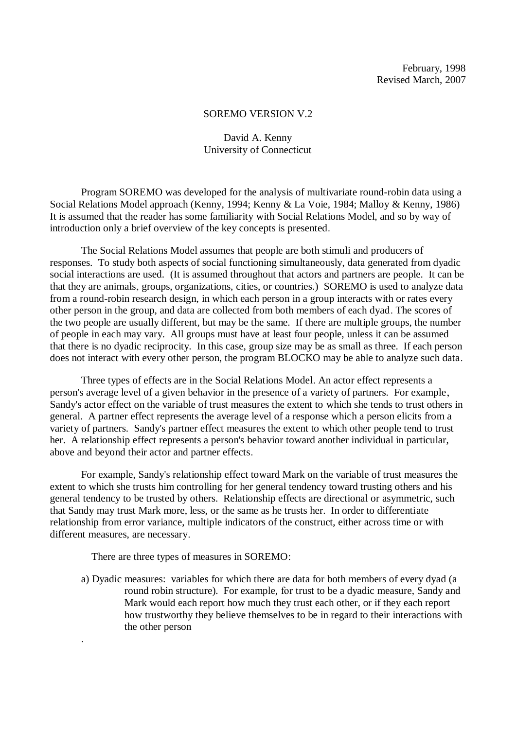### SOREMO VERSION V.2

## David A. Kenny University of Connecticut

Program SOREMO was developed for the analysis of multivariate round-robin data using a Social Relations Model approach (Kenny, 1994; Kenny & La Voie, 1984; Malloy & Kenny, 1986) It is assumed that the reader has some familiarity with Social Relations Model, and so by way of introduction only a brief overview of the key concepts is presented.

The Social Relations Model assumes that people are both stimuli and producers of responses. To study both aspects of social functioning simultaneously, data generated from dyadic social interactions are used. (It is assumed throughout that actors and partners are people. It can be that they are animals, groups, organizations, cities, or countries.) SOREMO is used to analyze data from a round-robin research design, in which each person in a group interacts with or rates every other person in the group, and data are collected from both members of each dyad. The scores of the two people are usually different, but may be the same. If there are multiple groups, the number of people in each may vary. All groups must have at least four people, unless it can be assumed that there is no dyadic reciprocity. In this case, group size may be as small as three. If each person does not interact with every other person, the program BLOCKO may be able to analyze such data.

Three types of effects are in the Social Relations Model. An actor effect represents a person's average level of a given behavior in the presence of a variety of partners. For example, Sandy's actor effect on the variable of trust measures the extent to which she tends to trust others in general. A partner effect represents the average level of a response which a person elicits from a variety of partners. Sandy's partner effect measures the extent to which other people tend to trust her. A relationship effect represents a person's behavior toward another individual in particular, above and beyond their actor and partner effects.

For example, Sandy's relationship effect toward Mark on the variable of trust measures the extent to which she trusts him controlling for her general tendency toward trusting others and his general tendency to be trusted by others. Relationship effects are directional or asymmetric, such that Sandy may trust Mark more, less, or the same as he trusts her. In order to differentiate relationship from error variance, multiple indicators of the construct, either across time or with different measures, are necessary.

There are three types of measures in SOREMO:

.

a) Dyadic measures: variables for which there are data for both members of every dyad (a round robin structure). For example, for trust to be a dyadic measure, Sandy and Mark would each report how much they trust each other, or if they each report how trustworthy they believe themselves to be in regard to their interactions with the other person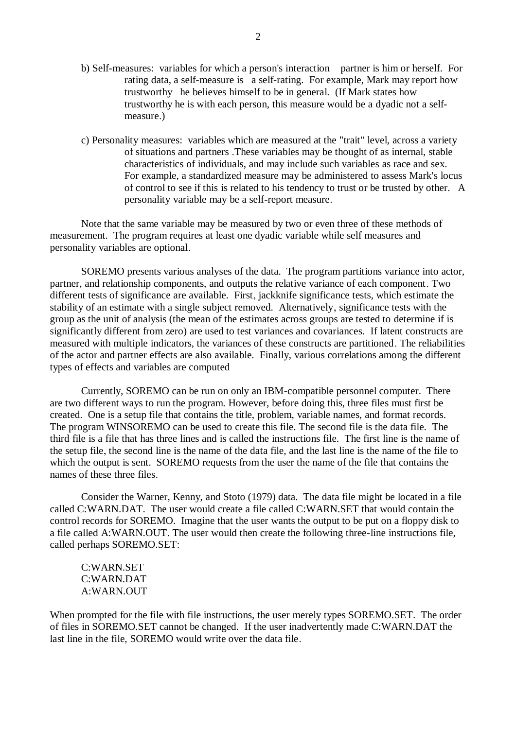- b) Self-measures: variables for which a person's interaction partner is him or herself. For rating data, a self-measure is a self-rating. For example, Mark may report how trustworthy he believes himself to be in general. (If Mark states how trustworthy he is with each person, this measure would be a dyadic not a selfmeasure.)
- c) Personality measures: variables which are measured at the "trait" level, across a variety of situations and partners .These variables may be thought of as internal, stable characteristics of individuals, and may include such variables as race and sex. For example, a standardized measure may be administered to assess Mark's locus of control to see if this is related to his tendency to trust or be trusted by other. A personality variable may be a self-report measure.

Note that the same variable may be measured by two or even three of these methods of measurement. The program requires at least one dyadic variable while self measures and personality variables are optional.

SOREMO presents various analyses of the data. The program partitions variance into actor, partner, and relationship components, and outputs the relative variance of each component. Two different tests of significance are available. First, jackknife significance tests, which estimate the stability of an estimate with a single subject removed. Alternatively, significance tests with the group as the unit of analysis (the mean of the estimates across groups are tested to determine if is significantly different from zero) are used to test variances and covariances. If latent constructs are measured with multiple indicators, the variances of these constructs are partitioned. The reliabilities of the actor and partner effects are also available. Finally, various correlations among the different types of effects and variables are computed

Currently, SOREMO can be run on only an IBM-compatible personnel computer. There are two different ways to run the program. However, before doing this, three files must first be created. One is a setup file that contains the title, problem, variable names, and format records. The program WINSOREMO can be used to create this file. The second file is the data file. The third file is a file that has three lines and is called the instructions file. The first line is the name of the setup file, the second line is the name of the data file, and the last line is the name of the file to which the output is sent. SOREMO requests from the user the name of the file that contains the names of these three files.

Consider the Warner, Kenny, and Stoto (1979) data. The data file might be located in a file called C:WARN.DAT. The user would create a file called C:WARN.SET that would contain the control records for SOREMO. Imagine that the user wants the output to be put on a floppy disk to a file called A:WARN.OUT. The user would then create the following three-line instructions file, called perhaps SOREMO.SET:

C:WARN.SET C:WARN.DAT A:WARN.OUT

When prompted for the file with file instructions, the user merely types SOREMO.SET. The order of files in SOREMO.SET cannot be changed. If the user inadvertently made C:WARN.DAT the last line in the file, SOREMO would write over the data file.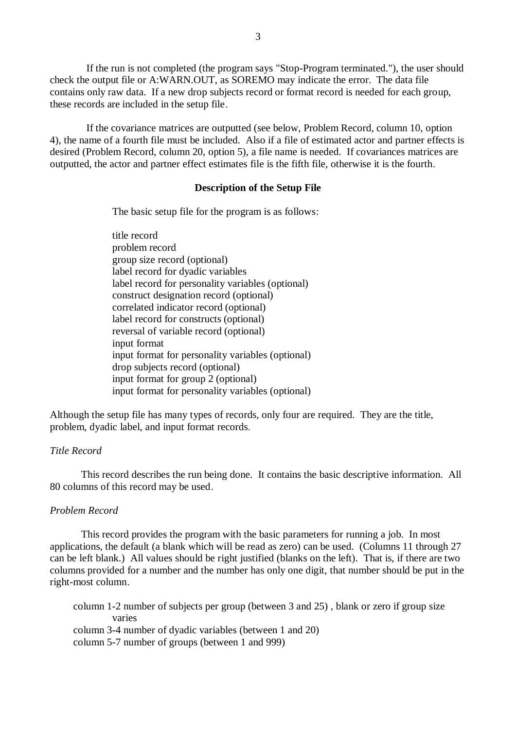If the run is not completed (the program says "Stop-Program terminated."), the user should check the output file or A:WARN.OUT, as SOREMO may indicate the error. The data file contains only raw data. If a new drop subjects record or format record is needed for each group, these records are included in the setup file.

 If the covariance matrices are outputted (see below, Problem Record, column 10, option 4), the name of a fourth file must be included. Also if a file of estimated actor and partner effects is desired (Problem Record, column 20, option 5), a file name is needed. If covariances matrices are outputted, the actor and partner effect estimates file is the fifth file, otherwise it is the fourth.

### **Description of the Setup File**

The basic setup file for the program is as follows:

title record problem record group size record (optional) label record for dyadic variables label record for personality variables (optional) construct designation record (optional) correlated indicator record (optional) label record for constructs (optional) reversal of variable record (optional) input format input format for personality variables (optional) drop subjects record (optional) input format for group 2 (optional) input format for personality variables (optional)

Although the setup file has many types of records, only four are required. They are the title, problem, dyadic label, and input format records.

## *Title Record*

This record describes the run being done. It contains the basic descriptive information. All 80 columns of this record may be used.

### *Problem Record*

This record provides the program with the basic parameters for running a job. In most applications, the default (a blank which will be read as zero) can be used. (Columns 11 through 27 can be left blank.) All values should be right justified (blanks on the left). That is, if there are two columns provided for a number and the number has only one digit, that number should be put in the right-most column.

 column 1-2 number of subjects per group (between 3 and 25) , blank or zero if group size varies column 3-4 number of dyadic variables (between 1 and 20) column 5-7 number of groups (between 1 and 999)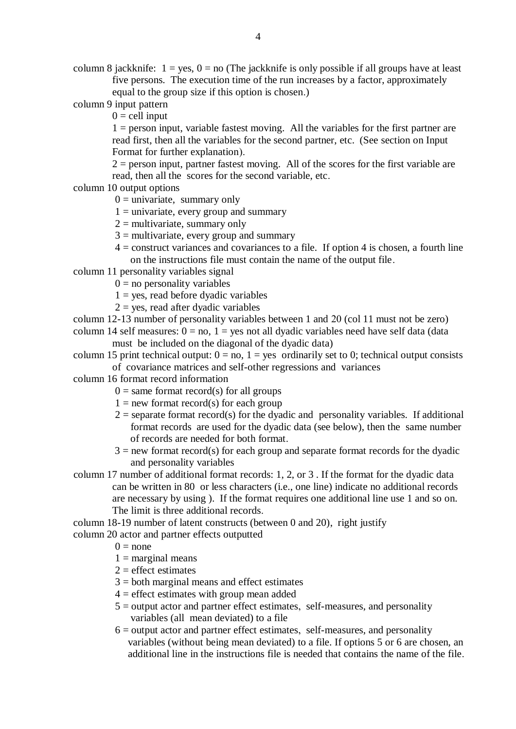column 8 jackknife:  $1 = yes$ ,  $0 = no$  (The jackknife is only possible if all groups have at least five persons. The execution time of the run increases by a factor, approximately equal to the group size if this option is chosen.)

column 9 input pattern

 $0 =$  cell input

 $1 =$  person input, variable fastest moving. All the variables for the first partner are read first, then all the variables for the second partner, etc. (See section on Input Format for further explanation).

 $2$  = person input, partner fastest moving. All of the scores for the first variable are read, then all the scores for the second variable, etc.

column 10 output options

 $0 =$  univariate, summary only

- $1 =$  univariate, every group and summary
- $2 =$  multivariate, summary only
- $3 =$  multivariate, every group and summary
- $4 =$ construct variances and covariances to a file. If option 4 is chosen, a fourth line on the instructions file must contain the name of the output file.
- column 11 personality variables signal
	- $0 =$  no personality variables
	- $1 = yes$ , read before dyadic variables
	- $2 = yes$ , read after dyadic variables

column 12-13 number of personality variables between 1 and 20 (col 11 must not be zero)

column 14 self measures:  $0 = no$ ,  $1 = yes$  not all dyadic variables need have self data (data) must be included on the diagonal of the dyadic data)

column 15 print technical output:  $0 = no$ ,  $1 = yes$  ordinarily set to 0; technical output consists of covariance matrices and self-other regressions and variances

column 16 format record information

- $0 =$  same format record(s) for all groups
- $1 = new format record(s) for each group$
- $2$  = separate format record(s) for the dyadic and personality variables. If additional format records are used for the dyadic data (see below), then the same number of records are needed for both format.
- $3 = new format record(s) for each group and separate format records for the dyadic$ and personality variables
- column 17 number of additional format records: 1, 2, or 3 . If the format for the dyadic data can be written in 80 or less characters (i.e., one line) indicate no additional records are necessary by using ). If the format requires one additional line use 1 and so on. The limit is three additional records.

 column 18-19 number of latent constructs (between 0 and 20), right justify column 20 actor and partner effects outputted

- $0 =$  none
- $1 =$  marginal means
- $2 =$  effect estimates
- $3 =$  both marginal means and effect estimates
- $4 =$  effect estimates with group mean added
- $5 =$  output actor and partner effect estimates, self-measures, and personality variables (all mean deviated) to a file
- $6 =$  output actor and partner effect estimates, self-measures, and personality variables (without being mean deviated) to a file. If options 5 or 6 are chosen, an additional line in the instructions file is needed that contains the name of the file.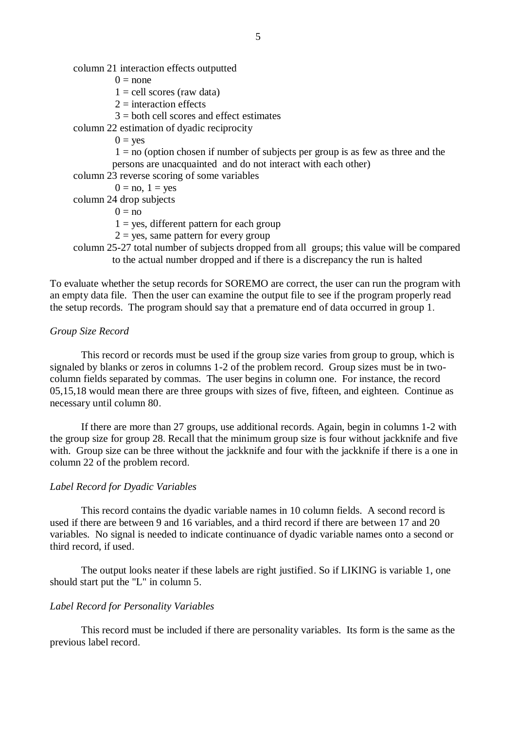column 21 interaction effects outputted

 $0 = none$ 

 $1 =$  cell scores (raw data)

 $2 =$  interaction effects

 $3 =$  both cell scores and effect estimates

column 22 estimation of dyadic reciprocity

 $0 = \mathrm{ves}$ 

 $1 = no$  (option chosen if number of subjects per group is as few as three and the persons are unacquainted and do not interact with each other)

column 23 reverse scoring of some variables

 $0 = no$ ,  $1 = yes$ 

column 24 drop subjects

 $0 = no$ 

 $1 = yes$ , different pattern for each group

- $2 = yes$ , same pattern for every group
- column 25-27 total number of subjects dropped from all groups; this value will be compared to the actual number dropped and if there is a discrepancy the run is halted

To evaluate whether the setup records for SOREMO are correct, the user can run the program with an empty data file. Then the user can examine the output file to see if the program properly read the setup records. The program should say that a premature end of data occurred in group 1.

### *Group Size Record*

This record or records must be used if the group size varies from group to group, which is signaled by blanks or zeros in columns 1-2 of the problem record. Group sizes must be in twocolumn fields separated by commas. The user begins in column one. For instance, the record 05,15,18 would mean there are three groups with sizes of five, fifteen, and eighteen. Continue as necessary until column 80.

If there are more than 27 groups, use additional records. Again, begin in columns 1-2 with the group size for group 28. Recall that the minimum group size is four without jackknife and five with. Group size can be three without the jackknife and four with the jackknife if there is a one in column 22 of the problem record.

### *Label Record for Dyadic Variables*

This record contains the dyadic variable names in 10 column fields. A second record is used if there are between 9 and 16 variables, and a third record if there are between 17 and 20 variables. No signal is needed to indicate continuance of dyadic variable names onto a second or third record, if used.

The output looks neater if these labels are right justified. So if LIKING is variable 1, one should start put the "L" in column 5.

### *Label Record for Personality Variables*

This record must be included if there are personality variables. Its form is the same as the previous label record.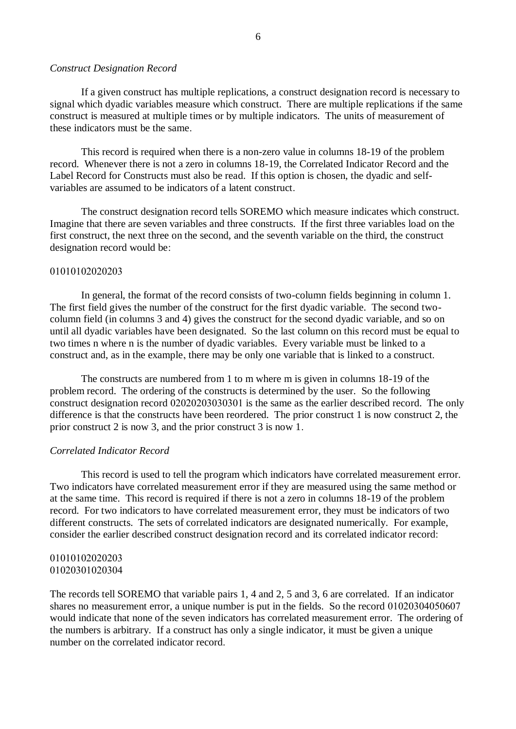#### *Construct Designation Record*

If a given construct has multiple replications, a construct designation record is necessary to signal which dyadic variables measure which construct. There are multiple replications if the same construct is measured at multiple times or by multiple indicators. The units of measurement of these indicators must be the same.

This record is required when there is a non-zero value in columns 18-19 of the problem record. Whenever there is not a zero in columns 18-19, the Correlated Indicator Record and the Label Record for Constructs must also be read. If this option is chosen, the dyadic and selfvariables are assumed to be indicators of a latent construct.

The construct designation record tells SOREMO which measure indicates which construct. Imagine that there are seven variables and three constructs. If the first three variables load on the first construct, the next three on the second, and the seventh variable on the third, the construct designation record would be:

### 01010102020203

In general, the format of the record consists of two-column fields beginning in column 1. The first field gives the number of the construct for the first dyadic variable. The second twocolumn field (in columns 3 and 4) gives the construct for the second dyadic variable, and so on until all dyadic variables have been designated. So the last column on this record must be equal to two times n where n is the number of dyadic variables. Every variable must be linked to a construct and, as in the example, there may be only one variable that is linked to a construct.

The constructs are numbered from 1 to m where m is given in columns 18-19 of the problem record. The ordering of the constructs is determined by the user. So the following construct designation record 02020203030301 is the same as the earlier described record. The only difference is that the constructs have been reordered. The prior construct 1 is now construct 2, the prior construct 2 is now 3, and the prior construct 3 is now 1.

### *Correlated Indicator Record*

This record is used to tell the program which indicators have correlated measurement error. Two indicators have correlated measurement error if they are measured using the same method or at the same time. This record is required if there is not a zero in columns 18-19 of the problem record. For two indicators to have correlated measurement error, they must be indicators of two different constructs. The sets of correlated indicators are designated numerically. For example, consider the earlier described construct designation record and its correlated indicator record:

### 01010102020203 01020301020304

The records tell SOREMO that variable pairs 1, 4 and 2, 5 and 3, 6 are correlated. If an indicator shares no measurement error, a unique number is put in the fields. So the record  $01020304050607$ would indicate that none of the seven indicators has correlated measurement error. The ordering of the numbers is arbitrary. If a construct has only a single indicator, it must be given a unique number on the correlated indicator record.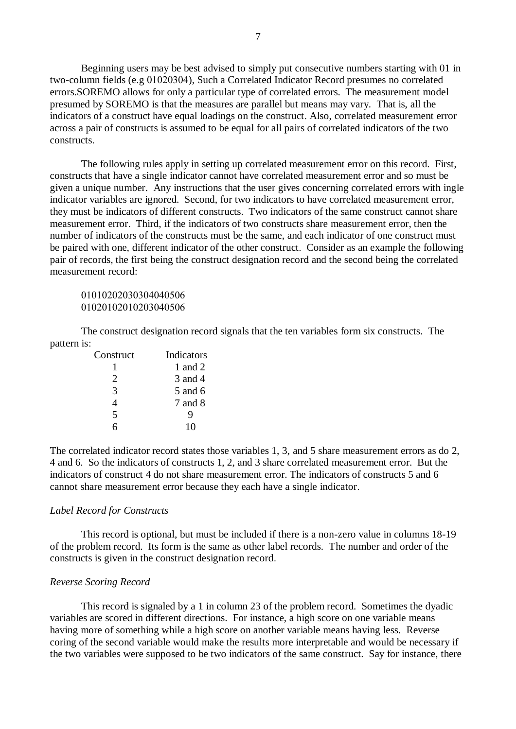Beginning users may be best advised to simply put consecutive numbers starting with 01 in two-column fields (e.g 01020304), Such a Correlated Indicator Record presumes no correlated errors.SOREMO allows for only a particular type of correlated errors. The measurement model presumed by SOREMO is that the measures are parallel but means may vary. That is, all the indicators of a construct have equal loadings on the construct. Also, correlated measurement error across a pair of constructs is assumed to be equal for all pairs of correlated indicators of the two constructs.

The following rules apply in setting up correlated measurement error on this record. First, constructs that have a single indicator cannot have correlated measurement error and so must be given a unique number. Any instructions that the user gives concerning correlated errors with ingle indicator variables are ignored. Second, for two indicators to have correlated measurement error, they must be indicators of different constructs. Two indicators of the same construct cannot share measurement error. Third, if the indicators of two constructs share measurement error, then the number of indicators of the constructs must be the same, and each indicator of one construct must be paired with one, different indicator of the other construct. Consider as an example the following pair of records, the first being the construct designation record and the second being the correlated measurement record:

## 01010202030304040506 01020102010203040506

The construct designation record signals that the ten variables form six constructs. The pattern is:

| Construct | Indicators |
|-----------|------------|
|           | 1 and 2    |
| 2.        | 3 and 4    |
| 3         | 5 and 6    |
|           | 7 and 8    |
| 5         | Q          |
|           | 10         |

The correlated indicator record states those variables 1, 3, and 5 share measurement errors as do 2, 4 and 6. So the indicators of constructs 1, 2, and 3 share correlated measurement error. But the indicators of construct 4 do not share measurement error. The indicators of constructs 5 and 6 cannot share measurement error because they each have a single indicator.

### *Label Record for Constructs*

This record is optional, but must be included if there is a non-zero value in columns 18-19 of the problem record. Its form is the same as other label records. The number and order of the constructs is given in the construct designation record.

#### *Reverse Scoring Record*

This record is signaled by a 1 in column 23 of the problem record. Sometimes the dyadic variables are scored in different directions. For instance, a high score on one variable means having more of something while a high score on another variable means having less. Reverse coring of the second variable would make the results more interpretable and would be necessary if the two variables were supposed to be two indicators of the same construct. Say for instance, there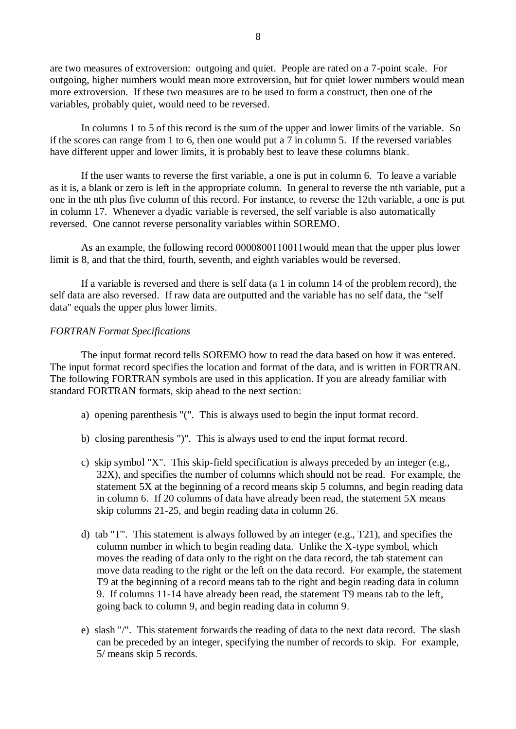are two measures of extroversion: outgoing and quiet. People are rated on a 7-point scale. For outgoing, higher numbers would mean more extroversion, but for quiet lower numbers would mean more extroversion. If these two measures are to be used to form a construct, then one of the variables, probably quiet, would need to be reversed.

In columns 1 to 5 of this record is the sum of the upper and lower limits of the variable. So if the scores can range from 1 to 6, then one would put a 7 in column 5. If the reversed variables have different upper and lower limits, it is probably best to leave these columns blank.

If the user wants to reverse the first variable, a one is put in column 6. To leave a variable as it is, a blank or zero is left in the appropriate column. In general to reverse the nth variable, put a one in the nth plus five column of this record. For instance, to reverse the 12th variable, a one is put in column 17. Whenever a dyadic variable is reversed, the self variable is also automatically reversed. One cannot reverse personality variables within SOREMO.

As an example, the following record 0000800110011 would mean that the upper plus lower limit is 8, and that the third, fourth, seventh, and eighth variables would be reversed.

If a variable is reversed and there is self data (a 1 in column 14 of the problem record), the self data are also reversed. If raw data are outputted and the variable has no self data, the "self data" equals the upper plus lower limits.

### *FORTRAN Format Specifications*

The input format record tells SOREMO how to read the data based on how it was entered. The input format record specifies the location and format of the data, and is written in FORTRAN. The following FORTRAN symbols are used in this application. If you are already familiar with standard FORTRAN formats, skip ahead to the next section:

- a) opening parenthesis "(". This is always used to begin the input format record.
- b) closing parenthesis ")". This is always used to end the input format record.
- c) skip symbol "X". This skip-field specification is always preceded by an integer (e.g., 32X), and specifies the number of columns which should not be read. For example, the statement 5X at the beginning of a record means skip 5 columns, and begin reading data in column 6. If 20 columns of data have already been read, the statement 5X means skip columns 21-25, and begin reading data in column 26.
- d) tab "T". This statement is always followed by an integer (e.g., T21), and specifies the column number in which to begin reading data. Unlike the X-type symbol, which moves the reading of data only to the right on the data record, the tab statement can move data reading to the right or the left on the data record. For example, the statement T9 at the beginning of a record means tab to the right and begin reading data in column 9. If columns 11-14 have already been read, the statement T9 means tab to the left, going back to column 9, and begin reading data in column 9.
- e) slash "/". This statement forwards the reading of data to the next data record. The slash can be preceded by an integer, specifying the number of records to skip. For example, 5/ means skip 5 records.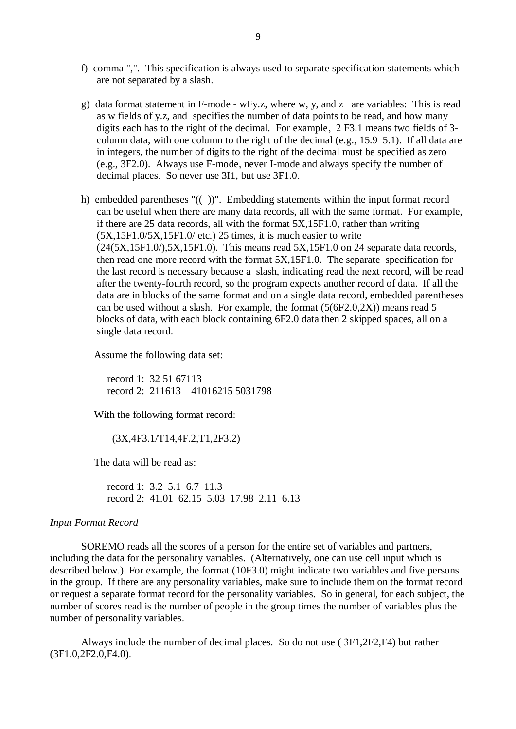- f) comma ",". This specification is always used to separate specification statements which are not separated by a slash.
- g) data format statement in F-mode wFy.z, where w, y, and z are variables: This is read as w fields of y.z, and specifies the number of data points to be read, and how many digits each has to the right of the decimal. For example,  $2$  F3.1 means two fields of 3column data, with one column to the right of the decimal (e.g., 15.9 5.1). If all data are in integers, the number of digits to the right of the decimal must be specified as zero (e.g., 3F2.0). Always use F-mode, never I-mode and always specify the number of decimal places. So never use 3I1, but use 3F1.0.
- h) embedded parentheses "(( ))". Embedding statements within the input format record can be useful when there are many data records, all with the same format. For example, if there are 25 data records, all with the format 5X,15F1.0, rather than writing (5X,15F1.0/5X,15F1.0/ etc.) 25 times, it is much easier to write  $(24(5X, 15F1.0), 5X, 15F1.0)$ . This means read  $5X, 15F1.0$  on 24 separate data records, then read one more record with the format 5X,15F1.0. The separate specification for the last record is necessary because a slash, indicating read the next record, will be read after the twenty-fourth record, so the program expects another record of data. If all the data are in blocks of the same format and on a single data record, embedded parentheses can be used without a slash. For example, the format (5(6F2.0,2X)) means read 5 blocks of data, with each block containing 6F2.0 data then 2 skipped spaces, all on a single data record.

Assume the following data set:

 record 1: 32 51 67113 record 2: 211613 41016215 5031798

With the following format record:

(3X,4F3.1/T14,4F.2,T1,2F3.2)

The data will be read as:

 record 1: 3.2 5.1 6.7 11.3 record 2: 41.01 62.15 5.03 17.98 2.11 6.13

#### *Input Format Record*

SOREMO reads all the scores of a person for the entire set of variables and partners, including the data for the personality variables. (Alternatively, one can use cell input which is described below.) For example, the format (10F3.0) might indicate two variables and five persons in the group. If there are any personality variables, make sure to include them on the format record or request a separate format record for the personality variables. So in general, for each subject, the number of scores read is the number of people in the group times the number of variables plus the number of personality variables.

Always include the number of decimal places. So do not use  $(3F1.2F2.F4)$  but rather (3F1.0,2F2.0,F4.0).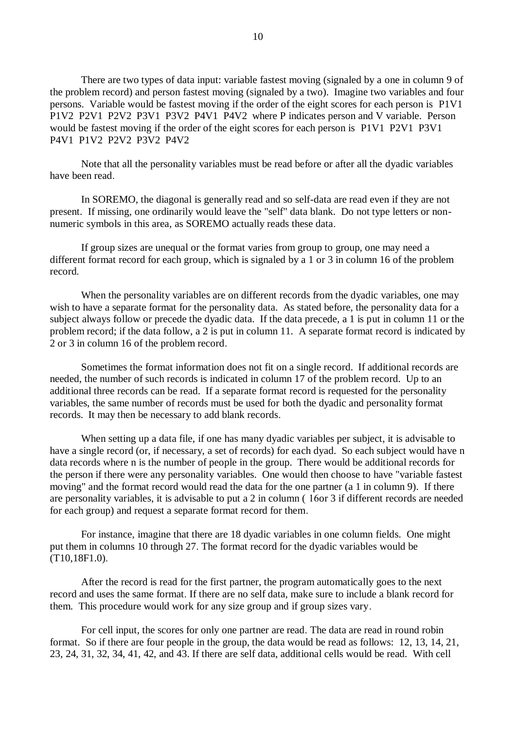There are two types of data input: variable fastest moving (signaled by a one in column 9 of the problem record) and person fastest moving (signaled by a two). Imagine two variables and four persons. Variable would be fastest moving if the order of the eight scores for each person is P1V1 P1V2 P2V1 P2V2 P3V1 P3V2 P4V1 P4V2 where P indicates person and V variable. Person would be fastest moving if the order of the eight scores for each person is P1V1 P2V1 P3V1 P4V1 P1V2 P2V2 P3V2 P4V2

Note that all the personality variables must be read before or after all the dyadic variables have been read.

In SOREMO, the diagonal is generally read and so self-data are read even if they are not present. If missing, one ordinarily would leave the "self" data blank. Do not type letters or nonnumeric symbols in this area, as SOREMO actually reads these data.

If group sizes are unequal or the format varies from group to group, one may need a different format record for each group, which is signaled by a 1 or 3 in column 16 of the problem record.

When the personality variables are on different records from the dyadic variables, one may wish to have a separate format for the personality data. As stated before, the personality data for a subject always follow or precede the dyadic data. If the data precede, a 1 is put in column 11 or the problem record; if the data follow, a 2 is put in column 11. A separate format record is indicated by 2 or 3 in column 16 of the problem record.

Sometimes the format information does not fit on a single record. If additional records are needed, the number of such records is indicated in column 17 of the problem record. Up to an additional three records can be read. If a separate format record is requested for the personality variables, the same number of records must be used for both the dyadic and personality format records. It may then be necessary to add blank records.

When setting up a data file, if one has many dyadic variables per subject, it is advisable to have a single record (or, if necessary, a set of records) for each dyad. So each subject would have n data records where n is the number of people in the group. There would be additional records for the person if there were any personality variables. One would then choose to have "variable fastest moving" and the format record would read the data for the one partner (a 1 in column 9). If there are personality variables, it is advisable to put a 2 in column  $(16\sigma)$  3 if different records are needed for each group) and request a separate format record for them.

For instance, imagine that there are 18 dyadic variables in one column fields. One might put them in columns 10 through 27. The format record for the dyadic variables would be (T10,18F1.0).

After the record is read for the first partner, the program automatically goes to the next record and uses the same format. If there are no self data, make sure to include a blank record for them. This procedure would work for any size group and if group sizes vary.

For cell input, the scores for only one partner are read. The data are read in round robin format. So if there are four people in the group, the data would be read as follows: 12, 13, 14, 21, 23, 24, 31, 32, 34, 41, 42, and 43. If there are self data, additional cells would be read. With cell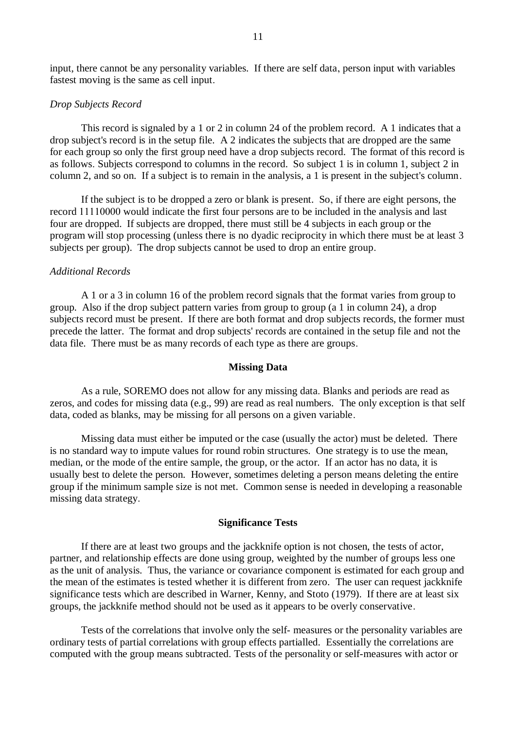input, there cannot be any personality variables. If there are self data, person input with variables fastest moving is the same as cell input.

#### *Drop Subjects Record*

This record is signaled by a 1 or 2 in column 24 of the problem record. A 1 indicates that a drop subject's record is in the setup file. A 2 indicates the subjects that are dropped are the same for each group so only the first group need have a drop subjects record. The format of this record is as follows. Subjects correspond to columns in the record. So subject 1 is in column 1, subject 2 in column 2, and so on. If a subject is to remain in the analysis, a 1 is present in the subject's column.

If the subject is to be dropped a zero or blank is present. So, if there are eight persons, the record 11110000 would indicate the first four persons are to be included in the analysis and last four are dropped. If subjects are dropped, there must still be 4 subjects in each group or the program will stop processing (unless there is no dyadic reciprocity in which there must be at least 3 subjects per group). The drop subjects cannot be used to drop an entire group.

#### *Additional Records*

A 1 or a 3 in column 16 of the problem record signals that the format varies from group to group. Also if the drop subject pattern varies from group to group (a 1 in column 24), a drop subjects record must be present. If there are both format and drop subjects records, the former must precede the latter. The format and drop subjects' records are contained in the setup file and not the data file. There must be as many records of each type as there are groups.

#### **Missing Data**

As a rule, SOREMO does not allow for any missing data. Blanks and periods are read as zeros, and codes for missing data (e.g., 99) are read as real numbers. The only exception is that self data, coded as blanks, may be missing for all persons on a given variable.

Missing data must either be imputed or the case (usually the actor) must be deleted. There is no standard way to impute values for round robin structures. One strategy is to use the mean, median, or the mode of the entire sample, the group, or the actor. If an actor has no data, it is usually best to delete the person. However, sometimes deleting a person means deleting the entire group if the minimum sample size is not met. Common sense is needed in developing a reasonable missing data strategy.

#### **Significance Tests**

If there are at least two groups and the jackknife option is not chosen, the tests of actor, partner, and relationship effects are done using group, weighted by the number of groups less one as the unit of analysis. Thus, the variance or covariance component is estimated for each group and the mean of the estimates is tested whether it is different from zero. The user can request jackknife significance tests which are described in Warner, Kenny, and Stoto (1979). If there are at least six groups, the jackknife method should not be used as it appears to be overly conservative.

Tests of the correlations that involve only the self- measures or the personality variables are ordinary tests of partial correlations with group effects partialled. Essentially the correlations are computed with the group means subtracted. Tests of the personality or self-measures with actor or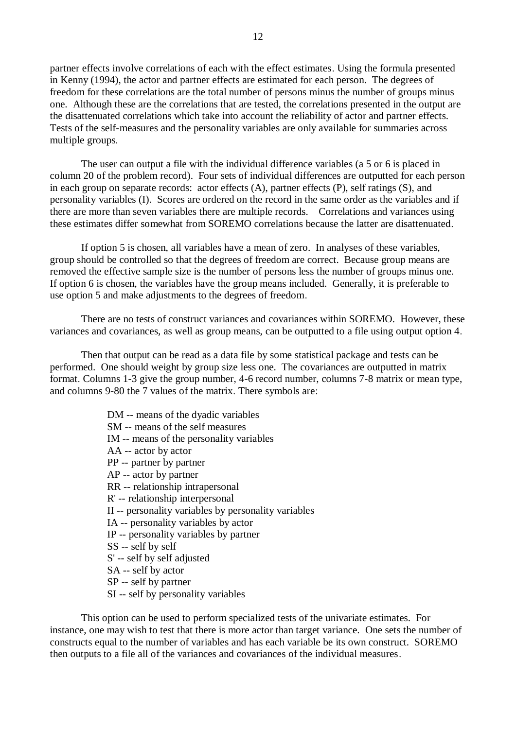partner effects involve correlations of each with the effect estimates. Using the formula presented in Kenny (1994), the actor and partner effects are estimated for each person. The degrees of freedom for these correlations are the total number of persons minus the number of groups minus one. Although these are the correlations that are tested, the correlations presented in the output are the disattenuated correlations which take into account the reliability of actor and partner effects. Tests of the self-measures and the personality variables are only available for summaries across multiple groups.

The user can output a file with the individual difference variables (a 5 or 6 is placed in column 20 of the problem record). Four sets of individual differences are outputted for each person in each group on separate records: actor effects (A), partner effects (P), self ratings (S), and personality variables (I). Scores are ordered on the record in the same order as the variables and if there are more than seven variables there are multiple records. Correlations and variances using these estimates differ somewhat from SOREMO correlations because the latter are disattenuated.

If option 5 is chosen, all variables have a mean of zero. In analyses of these variables, group should be controlled so that the degrees of freedom are correct. Because group means are removed the effective sample size is the number of persons less the number of groups minus one. If option 6 is chosen, the variables have the group means included. Generally, it is preferable to use option 5 and make adjustments to the degrees of freedom.

There are no tests of construct variances and covariances within SOREMO. However, these variances and covariances, as well as group means, can be outputted to a file using output option 4.

Then that output can be read as a data file by some statistical package and tests can be performed. One should weight by group size less one. The covariances are outputted in matrix format. Columns 1-3 give the group number, 4-6 record number, columns 7-8 matrix or mean type, and columns 9-80 the 7 values of the matrix. There symbols are:

- DM -- means of the dyadic variables
- SM -- means of the self measures
- IM -- means of the personality variables
- AA -- actor by actor
- PP -- partner by partner
- AP -- actor by partner
- RR -- relationship intrapersonal
- R' -- relationship interpersonal
- II -- personality variables by personality variables
- IA -- personality variables by actor
- IP -- personality variables by partner
- SS -- self by self
- S' -- self by self adjusted
- SA -- self by actor
- SP -- self by partner
- SI -- self by personality variables

This option can be used to perform specialized tests of the univariate estimates. For instance, one may wish to test that there is more actor than target variance. One sets the number of constructs equal to the number of variables and has each variable be its own construct. SOREMO then outputs to a file all of the variances and covariances of the individual measures.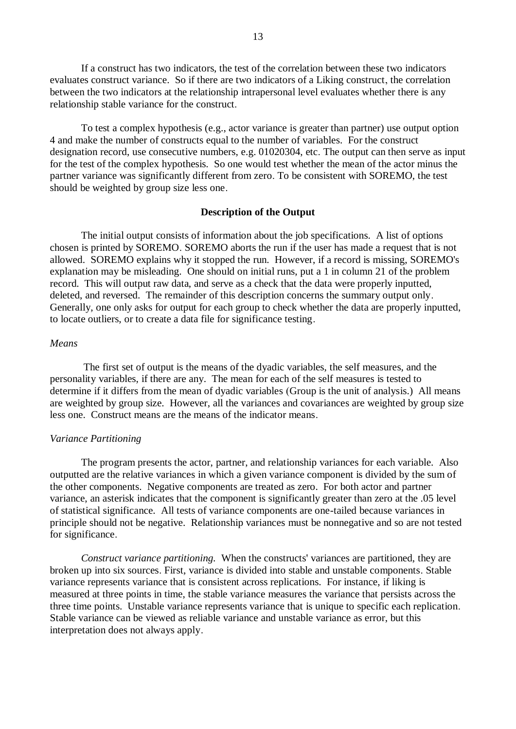If a construct has two indicators, the test of the correlation between these two indicators evaluates construct variance. So if there are two indicators of a Liking construct, the correlation between the two indicators at the relationship intrapersonal level evaluates whether there is any relationship stable variance for the construct.

To test a complex hypothesis (e.g., actor variance is greater than partner) use output option 4 and make the number of constructs equal to the number of variables. For the construct designation record, use consecutive numbers, e.g. 01020304, etc. The output can then serve as input for the test of the complex hypothesis. So one would test whether the mean of the actor minus the partner variance was significantly different from zero. To be consistent with SOREMO, the test should be weighted by group size less one.

#### **Description of the Output**

The initial output consists of information about the job specifications. A list of options chosen is printed by SOREMO. SOREMO aborts the run if the user has made a request that is not allowed. SOREMO explains why it stopped the run. However, if a record is missing, SOREMO's explanation may be misleading. One should on initial runs, put a 1 in column 21 of the problem record. This will output raw data, and serve as a check that the data were properly inputted, deleted, and reversed. The remainder of this description concerns the summary output only. Generally, one only asks for output for each group to check whether the data are properly inputted, to locate outliers, or to create a data file for significance testing.

#### *Means*

The first set of output is the means of the dyadic variables, the self measures, and the personality variables, if there are any. The mean for each of the self measures is tested to determine if it differs from the mean of dyadic variables (Group is the unit of analysis.) All means are weighted by group size. However, all the variances and covariances are weighted by group size less one. Construct means are the means of the indicator means.

#### *Variance Partitioning*

The program presents the actor, partner, and relationship variances for each variable. Also outputted are the relative variances in which a given variance component is divided by the sum of the other components. Negative components are treated as zero. For both actor and partner variance, an asterisk indicates that the component is significantly greater than zero at the .05 level of statistical significance. All tests of variance components are one-tailed because variances in principle should not be negative. Relationship variances must be nonnegative and so are not tested for significance.

*Construct variance partitioning.* When the constructs' variances are partitioned, they are broken up into six sources. First, variance is divided into stable and unstable components. Stable variance represents variance that is consistent across replications. For instance, if liking is measured at three points in time, the stable variance measures the variance that persists across the three time points. Unstable variance represents variance that is unique to specific each replication. Stable variance can be viewed as reliable variance and unstable variance as error, but this interpretation does not always apply.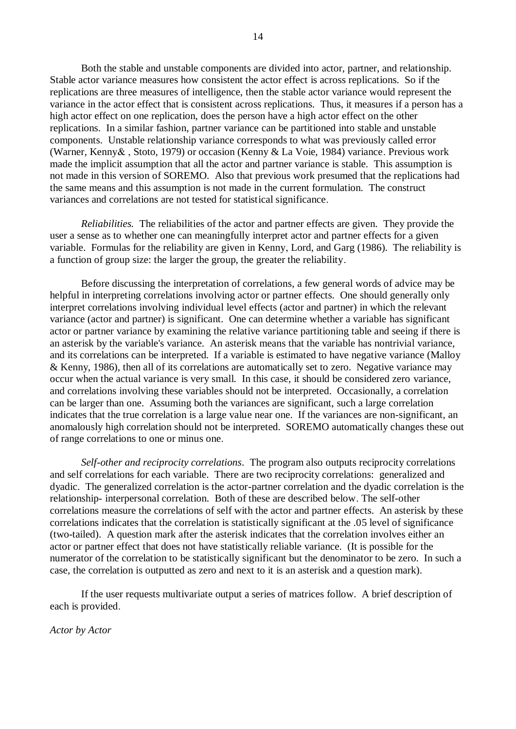Both the stable and unstable components are divided into actor, partner, and relationship. Stable actor variance measures how consistent the actor effect is across replications. So if the replications are three measures of intelligence, then the stable actor variance would represent the variance in the actor effect that is consistent across replications. Thus, it measures if a person has a high actor effect on one replication, does the person have a high actor effect on the other replications. In a similar fashion, partner variance can be partitioned into stable and unstable components. Unstable relationship variance corresponds to what was previously called error (Warner, Kenny& , Stoto, 1979) or occasion (Kenny & La Voie, 1984) variance. Previous work made the implicit assumption that all the actor and partner variance is stable. This assumption is not made in this version of SOREMO. Also that previous work presumed that the replications had the same means and this assumption is not made in the current formulation. The construct variances and correlations are not tested for statistical significance.

*Reliabilities.* The reliabilities of the actor and partner effects are given. They provide the user a sense as to whether one can meaningfully interpret actor and partner effects for a given variable. Formulas for the reliability are given in Kenny, Lord, and Garg (1986). The reliability is a function of group size: the larger the group, the greater the reliability.

Before discussing the interpretation of correlations, a few general words of advice may be helpful in interpreting correlations involving actor or partner effects. One should generally only interpret correlations involving individual level effects (actor and partner) in which the relevant variance (actor and partner) is significant. One can determine whether a variable has significant actor or partner variance by examining the relative variance partitioning table and seeing if there is an asterisk by the variable's variance. An asterisk means that the variable has nontrivial variance, and its correlations can be interpreted. If a variable is estimated to have negative variance (Malloy & Kenny, 1986), then all of its correlations are automatically set to zero. Negative variance may occur when the actual variance is very small. In this case, it should be considered zero variance, and correlations involving these variables should not be interpreted. Occasionally, a correlation can be larger than one. Assuming both the variances are significant, such a large correlation indicates that the true correlation is a large value near one. If the variances are non-significant, an anomalously high correlation should not be interpreted. SOREMO automatically changes these out of range correlations to one or minus one.

*Self-other and reciprocity correlations*. The program also outputs reciprocity correlations and self correlations for each variable. There are two reciprocity correlations: generalized and dyadic. The generalized correlation is the actor-partner correlation and the dyadic correlation is the relationship- interpersonal correlation. Both of these are described below. The self-other correlations measure the correlations of self with the actor and partner effects. An asterisk by these correlations indicates that the correlation is statistically significant at the .05 level of significance (two-tailed). A question mark after the asterisk indicates that the correlation involves either an actor or partner effect that does not have statistically reliable variance. (It is possible for the numerator of the correlation to be statistically significant but the denominator to be zero. In such a case, the correlation is outputted as zero and next to it is an asterisk and a question mark).

If the user requests multivariate output a series of matrices follow. A brief description of each is provided.

*Actor by Actor*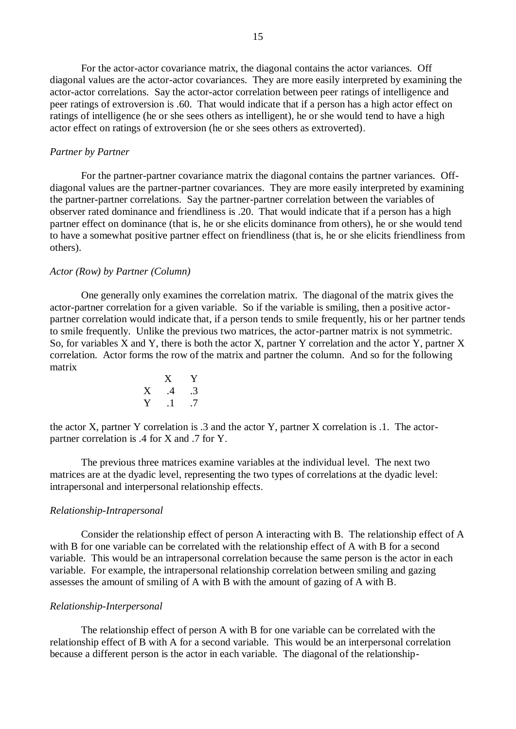For the actor-actor covariance matrix, the diagonal contains the actor variances. Off diagonal values are the actor-actor covariances. They are more easily interpreted by examining the actor-actor correlations. Say the actor-actor correlation between peer ratings of intelligence and peer ratings of extroversion is .60. That would indicate that if a person has a high actor effect on ratings of intelligence (he or she sees others as intelligent), he or she would tend to have a high actor effect on ratings of extroversion (he or she sees others as extroverted).

#### *Partner by Partner*

For the partner-partner covariance matrix the diagonal contains the partner variances. Offdiagonal values are the partner-partner covariances. They are more easily interpreted by examining the partner-partner correlations. Say the partner-partner correlation between the variables of observer rated dominance and friendliness is .20. That would indicate that if a person has a high partner effect on dominance (that is, he or she elicits dominance from others), he or she would tend to have a somewhat positive partner effect on friendliness (that is, he or she elicits friendliness from others).

#### *Actor (Row) by Partner (Column)*

One generally only examines the correlation matrix. The diagonal of the matrix gives the actor-partner correlation for a given variable. So if the variable is smiling, then a positive actorpartner correlation would indicate that, if a person tends to smile frequently, his or her partner tends to smile frequently. Unlike the previous two matrices, the actor-partner matrix is not symmetric. So, for variables X and Y, there is both the actor X, partner Y correlation and the actor Y, partner X correlation. Actor forms the row of the matrix and partner the column. And so for the following matrix

$$
\begin{array}{ccc}\n & X & Y \\
X & .4 & .3 \\
Y & .1 & .7\n\end{array}
$$

the actor X, partner Y correlation is .3 and the actor Y, partner X correlation is .1. The actorpartner correlation is .4 for X and .7 for Y.

The previous three matrices examine variables at the individual level. The next two matrices are at the dyadic level, representing the two types of correlations at the dyadic level: intrapersonal and interpersonal relationship effects.

#### *Relationship-Intrapersonal*

Consider the relationship effect of person A interacting with B. The relationship effect of A with B for one variable can be correlated with the relationship effect of A with B for a second variable. This would be an intrapersonal correlation because the same person is the actor in each variable. For example, the intrapersonal relationship correlation between smiling and gazing assesses the amount of smiling of A with B with the amount of gazing of A with B.

#### *Relationship-Interpersonal*

The relationship effect of person A with B for one variable can be correlated with the relationship effect of B with A for a second variable. This would be an interpersonal correlation because a different person is the actor in each variable. The diagonal of the relationship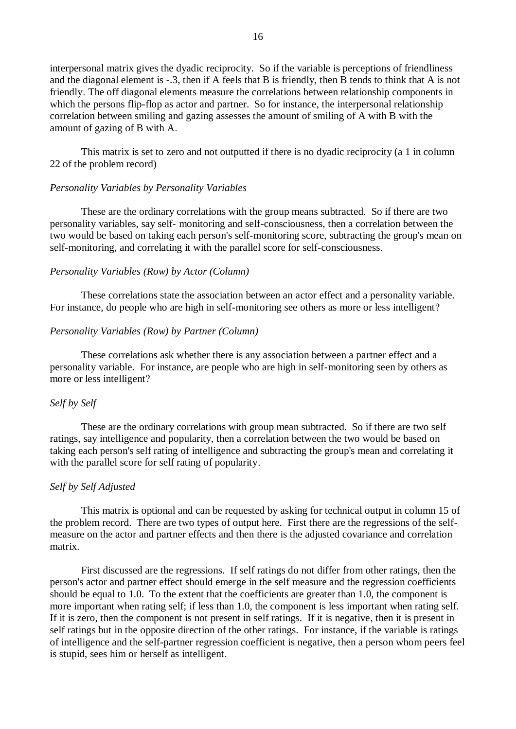interpersonal matrix gives the dyadic reciprocity. So if the variable is perceptions of friendliness and the diagonal element is -.3, then if A feels that B is friendly, then B tends to think that A is not friendly. The off diagonal elements measure the correlations between relationship components in which the persons flip-flop as actor and partner. So for instance, the interpersonal relationship correlation between smiling and gazing assesses the amount of smiling of A with B with the amount of gazing of B with A.

This matrix is set to zero and not outputted if there is no dyadic reciprocity (a 1 in column 22 of the problem record)

### *Personality Variables by Personality Variables*

These are the ordinary correlations with the group means subtracted. So if there are two personality variables, say self- monitoring and self-consciousness, then a correlation between the two would be based on taking each person's self-monitoring score, subtracting the group's mean on self-monitoring, and correlating it with the parallel score for self-consciousness.

#### *Personality Variables (Row) by Actor (Column)*

These correlations state the association between an actor effect and a personality variable. For instance, do people who are high in self-monitoring see others as more or less intelligent?

### *Personality Variables (Row) by Partner (Column)*

These correlations ask whether there is any association between a partner effect and a personality variable. For instance, are people who are high in self-monitoring seen by others as more or less intelligent?

### *Self by Self*

These are the ordinary correlations with group mean subtracted. So if there are two self ratings, say intelligence and popularity, then a correlation between the two would be based on taking each person's self rating of intelligence and subtracting the group's mean and correlating it with the parallel score for self rating of popularity.

## *Self by Self Adjusted*

This matrix is optional and can be requested by asking for technical output in column 15 of the problem record. There are two types of output here. First there are the regressions of the selfmeasure on the actor and partner effects and then there is the adjusted covariance and correlation matrix.

First discussed are the regressions. If self ratings do not differ from other ratings, then the person's actor and partner effect should emerge in the self measure and the regression coefficients should be equal to 1.0. To the extent that the coefficients are greater than 1.0, the component is more important when rating self; if less than 1.0, the component is less important when rating self. If it is zero, then the component is not present in self ratings. If it is negative, then it is present in self ratings but in the opposite direction of the other ratings. For instance, if the variable is ratings of intelligence and the self-partner regression coefficient is negative, then a person whom peers feel is stupid, sees him or herself as intelligent.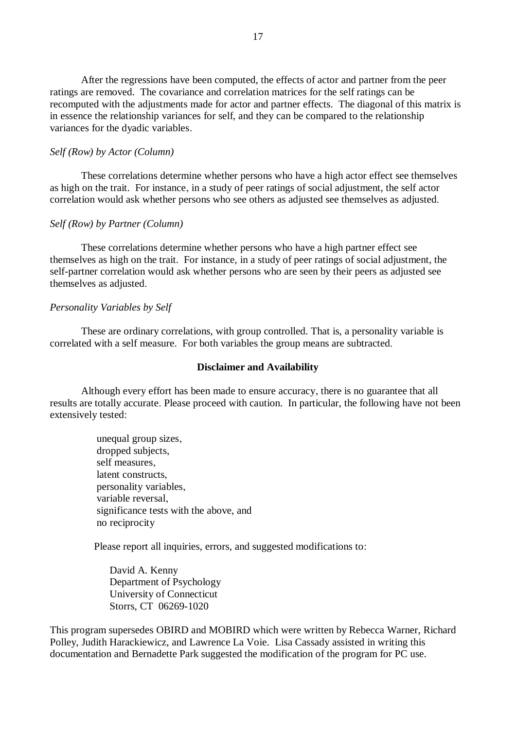After the regressions have been computed, the effects of actor and partner from the peer ratings are removed. The covariance and correlation matrices for the self ratings can be recomputed with the adjustments made for actor and partner effects. The diagonal of this matrix is in essence the relationship variances for self, and they can be compared to the relationship variances for the dyadic variables.

### *Self (Row) by Actor (Column)*

These correlations determine whether persons who have a high actor effect see themselves as high on the trait. For instance, in a study of peer ratings of social adjustment, the self actor correlation would ask whether persons who see others as adjusted see themselves as adjusted.

### *Self (Row) by Partner (Column)*

These correlations determine whether persons who have a high partner effect see themselves as high on the trait. For instance, in a study of peer ratings of social adjustment, the self-partner correlation would ask whether persons who are seen by their peers as adjusted see themselves as adjusted.

#### *Personality Variables by Self*

These are ordinary correlations, with group controlled. That is, a personality variable is correlated with a self measure. For both variables the group means are subtracted.

#### **Disclaimer and Availability**

Although every effort has been made to ensure accuracy, there is no guarantee that all results are totally accurate. Please proceed with caution. In particular, the following have not been extensively tested:

> unequal group sizes, dropped subjects, self measures, latent constructs personality variables, variable reversal, significance tests with the above, and no reciprocity

Please report all inquiries, errors, and suggested modifications to:

 David A. Kenny Department of Psychology University of Connecticut Storrs, CT 06269-1020

This program supersedes OBIRD and MOBIRD which were written by Rebecca Warner, Richard Polley, Judith Harackiewicz, and Lawrence La Voie. Lisa Cassady assisted in writing this documentation and Bernadette Park suggested the modification of the program for PC use.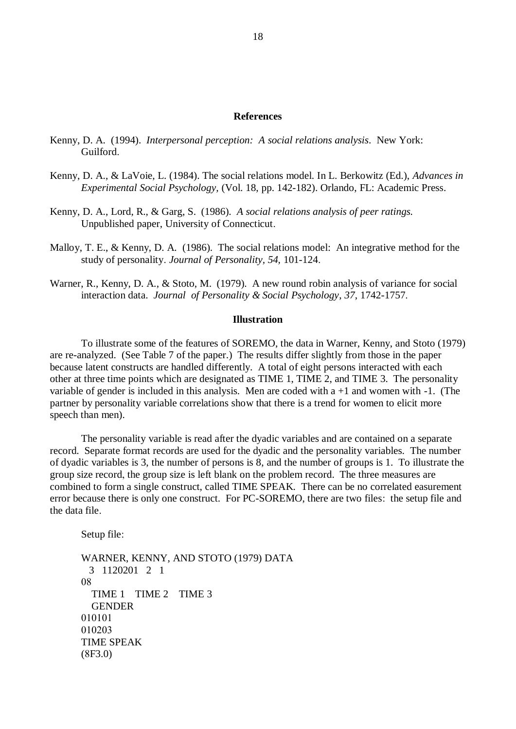#### **References**

- Kenny, D. A. (1994). *Interpersonal perception: A social relations analysis*. New York: Guilford.
- Kenny, D. A., & LaVoie, L. (1984). The social relations model. In L. Berkowitz (Ed.), *Advances in Experimental Social Psychology,* (Vol. 18, pp. 142-182). Orlando, FL: Academic Press.
- Kenny, D. A., Lord, R., & Garg, S. (1986). *A social relations analysis of peer ratings.* Unpublished paper, University of Connecticut.
- Malloy, T. E., & Kenny, D. A. (1986). The social relations model: An integrative method for the study of personality. *Journal of Personality, 54,* 101-124.
- Warner, R., Kenny, D. A., & Stoto, M. (1979). A new round robin analysis of variance for social interaction data. *Journal of Personality & Social Psychology*, *37*, 1742-1757.

### **Illustration**

To illustrate some of the features of SOREMO, the data in Warner, Kenny, and Stoto (1979) are re-analyzed. (See Table 7 of the paper.) The results differ slightly from those in the paper because latent constructs are handled differently. A total of eight persons interacted with each other at three time points which are designated as TIME 1, TIME 2, and TIME 3. The personality variable of gender is included in this analysis. Men are coded with  $a + 1$  and women with  $-1$ . (The partner by personality variable correlations show that there is a trend for women to elicit more speech than men).

The personality variable is read after the dyadic variables and are contained on a separate record. Separate format records are used for the dyadic and the personality variables. The number of dyadic variables is 3, the number of persons is 8, and the number of groups is 1. To illustrate the group size record, the group size is left blank on the problem record. The three measures are combined to form a single construct, called TIME SPEAK. There can be no correlated easurement error because there is only one construct. For PC-SOREMO, there are two files: the setup file and the data file.

Setup file:

WARNER, KENNY, AND STOTO (1979) DATA 3 1120201 2 1 08 TIME 1 TIME 2 TIME 3 **GENDER** 010101 010203 TIME SPEAK  $(8F3.0)$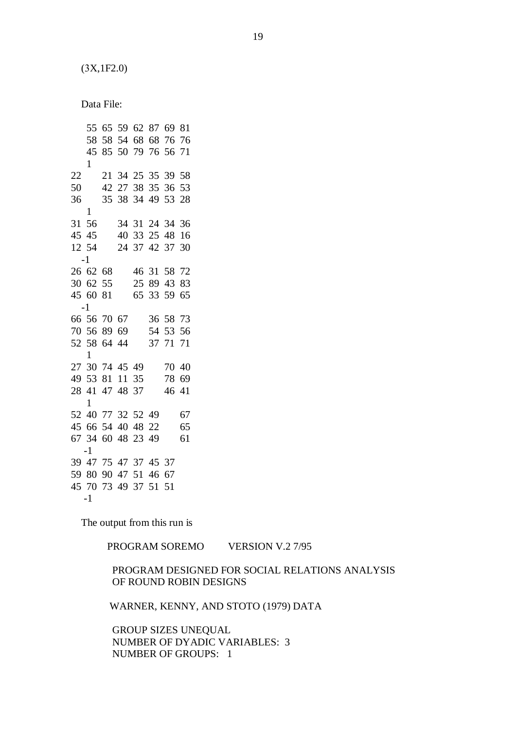$(3X, 1F2.0)$ 

Data File:

The output from this run is

PROGRAM SOREMO VERSION V.2 7/95

 PROGRAM DESIGNED FOR SOCIAL RELATIONS ANALYSIS OF ROUND ROBIN DESIGNS

WARNER, KENNY, AND STOTO (1979) DATA

 GROUP SIZES UNEQUAL NUMBER OF DYADIC VARIABLES: 3 NUMBER OF GROUPS: 1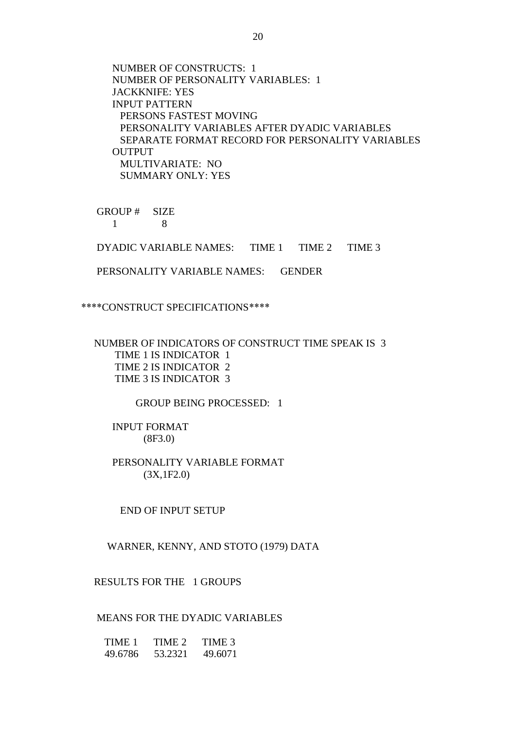NUMBER OF CONSTRUCTS: 1 NUMBER OF PERSONALITY VARIABLES: 1 JACKKNIFE: YES INPUT PATTERN PERSONS FASTEST MOVING PERSONALITY VARIABLES AFTER DYADIC VARIABLES SEPARATE FORMAT RECORD FOR PERSONALITY VARIABLES OUTPUT MULTIVARIATE: NO SUMMARY ONLY: YES

 GROUP # SIZE 1 8

DYADIC VARIABLE NAMES: TIME 1 TIME 2 TIME 3

PERSONALITY VARIABLE NAMES: GENDER

\*\*\*\*CONSTRUCT SPECIFICATIONS\*\*\*\*

 NUMBER OF INDICATORS OF CONSTRUCT TIME SPEAK IS 3 TIME 1 IS INDICATOR 1 TIME 2 IS INDICATOR 2 TIME 3 IS INDICATOR 3

GROUP BEING PROCESSED: 1

 INPUT FORMAT (8F3.0)

 PERSONALITY VARIABLE FORMAT (3X,1F2.0)

END OF INPUT SETUP

WARNER, KENNY, AND STOTO (1979) DATA

RESULTS FOR THE 1 GROUPS

### MEANS FOR THE DYADIC VARIABLES

 TIME 1 TIME 2 TIME 3 49.6786 53.2321 49.6071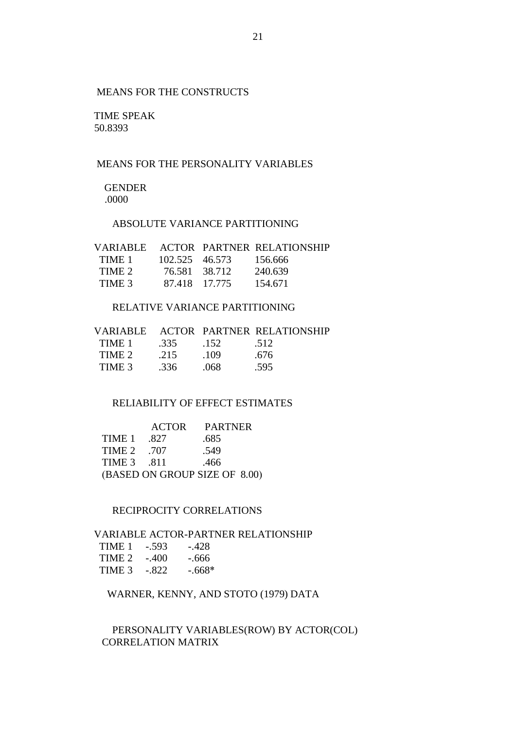# MEANS FOR THE CONSTRUCTS

 TIME SPEAK 50.8393

## MEANS FOR THE PERSONALITY VARIABLES

 GENDER .0000

# ABSOLUTE VARIANCE PARTITIONING

| VARIABLE – |                | <b>ACTOR PARTNER RELATIONSHIP</b> |
|------------|----------------|-----------------------------------|
| TIME 1     | 102.525 46.573 | -156.666                          |
| TIME 2     | 76.581 38.712  | 240.639                           |
| TIME 3     | 87.418 17.775  | 154.671                           |

## RELATIVE VARIANCE PARTITIONING

|        |      |      | VARIABLE ACTOR PARTNER RELATIONSHIP |
|--------|------|------|-------------------------------------|
| TIME 1 | .335 | .152 | .512                                |
| TIME 2 | .215 | -109 | .676                                |
| TIME 3 | .336 | 068  | .595                                |

# RELIABILITY OF EFFECT ESTIMATES

|            | <b>ACTOR</b> | <b>PARTNER</b>                |
|------------|--------------|-------------------------------|
| TIME 1     | .827         | .685                          |
| TIME 2     | - 707        | .549                          |
| TIME 3 811 |              | .466                          |
|            |              | (BASED ON GROUP SIZE OF 8.00) |

### RECIPROCITY CORRELATIONS

## VARIABLE ACTOR-PARTNER RELATIONSHIP

| TIME 1 | $-.593$ | $-.428$  |
|--------|---------|----------|
| TIME 2 | $-.400$ | - 666    |
| TIME 3 | $-.822$ | $-.668*$ |

# WARNER, KENNY, AND STOTO (1979) DATA

## PERSONALITY VARIABLES(ROW) BY ACTOR(COL) CORRELATION MATRIX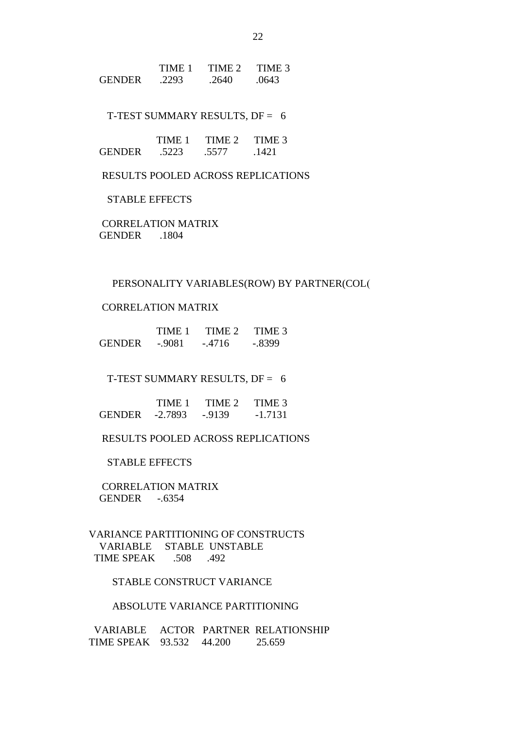|               | TIME 1 | TIME 2 | TIME 3 |
|---------------|--------|--------|--------|
| <b>GENDER</b> | 2293   | 2640   | .0643  |

T-TEST SUMMARY RESULTS, DF = 6

|               | TIME 1 | TIME 2 | TIME 3 |
|---------------|--------|--------|--------|
| <b>GENDER</b> | .5223  | .5577  | 1421   |

RESULTS POOLED ACROSS REPLICATIONS

### STABLE EFFECTS

 CORRELATION MATRIX GENDER .1804

### PERSONALITY VARIABLES(ROW) BY PARTNER(COL(

## CORRELATION MATRIX

|               | TIME 1   | TIME 2   | TIME 3   |
|---------------|----------|----------|----------|
| <b>GENDER</b> | $-.9081$ | $-.4716$ | $-.8399$ |

T-TEST SUMMARY RESULTS, DF = 6

|               | TIME 1    | TIME 2  | TIME 3    |
|---------------|-----------|---------|-----------|
| <b>GENDER</b> | $-2.7893$ | $-9139$ | $-1.7131$ |

RESULTS POOLED ACROSS REPLICATIONS

### STABLE EFFECTS

 CORRELATION MATRIX GENDER -.6354

 VARIANCE PARTITIONING OF CONSTRUCTS VARIABLE STABLE UNSTABLE TIME SPEAK .508 .492

## STABLE CONSTRUCT VARIANCE

### ABSOLUTE VARIANCE PARTITIONING

 VARIABLE ACTOR PARTNER RELATIONSHIP TIME SPEAK 93.532 44.200 25.659